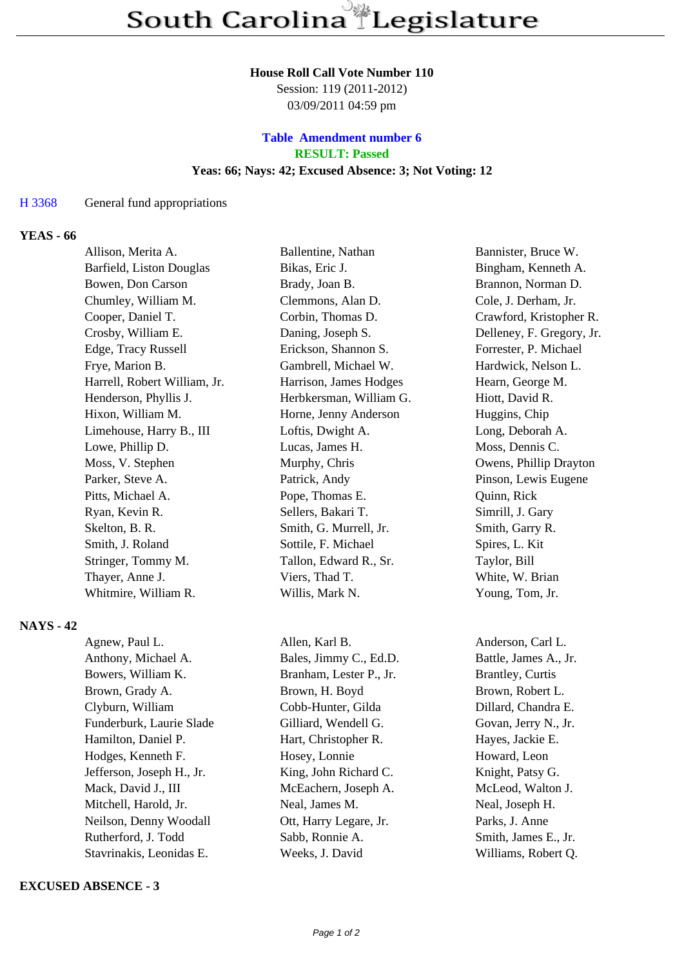## **House Roll Call Vote Number 110**

Session: 119 (2011-2012) 03/09/2011 04:59 pm

## **Table Amendment number 6 RESULT: Passed Yeas: 66; Nays: 42; Excused Absence: 3; Not Voting: 12**

## H 3368 General fund appropriations

## **YEAS - 66**

| Allison, Merita A.           | Ballentine, Nathan      | Bannister, Bruce W.       |
|------------------------------|-------------------------|---------------------------|
| Barfield, Liston Douglas     | Bikas, Eric J.          | Bingham, Kenneth A.       |
| Bowen, Don Carson            | Brady, Joan B.          | Brannon, Norman D.        |
| Chumley, William M.          | Clemmons, Alan D.       | Cole, J. Derham, Jr.      |
| Cooper, Daniel T.            | Corbin, Thomas D.       | Crawford, Kristopher R.   |
| Crosby, William E.           | Daning, Joseph S.       | Delleney, F. Gregory, Jr. |
| Edge, Tracy Russell          | Erickson, Shannon S.    | Forrester, P. Michael     |
| Frye, Marion B.              | Gambrell, Michael W.    | Hardwick, Nelson L.       |
| Harrell, Robert William, Jr. | Harrison, James Hodges  | Hearn, George M.          |
| Henderson, Phyllis J.        | Herbkersman, William G. | Hiott, David R.           |
| Hixon, William M.            | Horne, Jenny Anderson   | Huggins, Chip             |
| Limehouse, Harry B., III     | Loftis, Dwight A.       | Long, Deborah A.          |
| Lowe, Phillip D.             | Lucas, James H.         | Moss, Dennis C.           |
| Moss, V. Stephen             | Murphy, Chris           | Owens, Phillip Drayton    |
| Parker, Steve A.             | Patrick, Andy           | Pinson, Lewis Eugene      |
| Pitts, Michael A.            | Pope, Thomas E.         | Quinn, Rick               |
| Ryan, Kevin R.               | Sellers, Bakari T.      | Simrill, J. Gary          |
| Skelton, B. R.               | Smith, G. Murrell, Jr.  | Smith, Garry R.           |
| Smith, J. Roland             | Sottile, F. Michael     | Spires, L. Kit            |
| Stringer, Tommy M.           | Tallon, Edward R., Sr.  | Taylor, Bill              |
| Thayer, Anne J.              | Viers, Thad T.          | White, W. Brian           |
| Whitmire, William R.         | Willis, Mark N.         | Young, Tom, Jr.           |

### **NAYS - 42**

Agnew, Paul L. Allen, Karl B. Anderson, Carl L. Anthony, Michael A. Bales, Jimmy C., Ed.D. Battle, James A., Jr. Bowers, William K. Branham, Lester P., Jr. Brantley, Curtis Brown, Grady A. Brown, H. Boyd Brown, Robert L. Clyburn, William Cobb-Hunter, Gilda Dillard, Chandra E. Funderburk, Laurie Slade Gilliard, Wendell G. Govan, Jerry N., Jr. Hamilton, Daniel P. Hart, Christopher R. Hayes, Jackie E. Hodges, Kenneth F. Hosey, Lonnie Howard, Leon Jefferson, Joseph H., Jr. King, John Richard C. Knight, Patsy G. Mack, David J., III McEachern, Joseph A. McLeod, Walton J. Mitchell, Harold, Jr. Neal, James M. Neal, Joseph H. Neilson, Denny Woodall Ott, Harry Legare, Jr. Parks, J. Anne Rutherford, J. Todd Sabb, Ronnie A. Smith, James E., Jr. Stavrinakis, Leonidas E. Weeks, J. David Williams, Robert Q.

### **EXCUSED ABSENCE - 3**